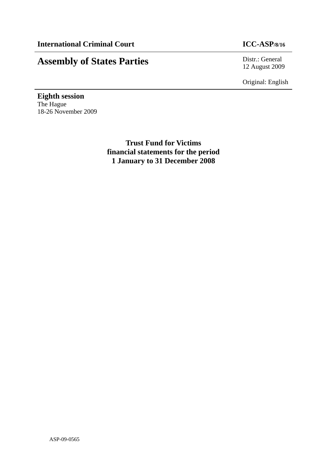# **Assembly of States Parties** Distr.: General

12 August 2009

Original: English

**Eighth session**  The Hague 18-26 November 2009

> **Trust Fund for Victims financial statements for the period 1 January to 31 December 2008**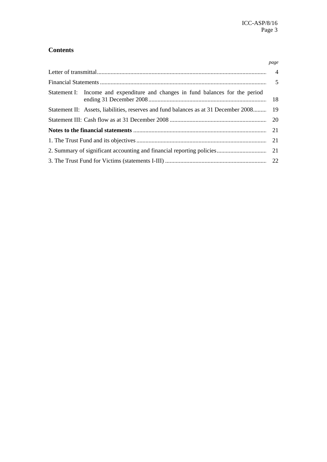# **Contents**

|                                                                                         | page |
|-----------------------------------------------------------------------------------------|------|
|                                                                                         |      |
|                                                                                         |      |
| Statement I: Income and expenditure and changes in fund balances for the period         |      |
| Statement II: Assets, liabilities, reserves and fund balances as at 31 December 2008 19 |      |
|                                                                                         |      |
|                                                                                         |      |
|                                                                                         |      |
|                                                                                         |      |
|                                                                                         |      |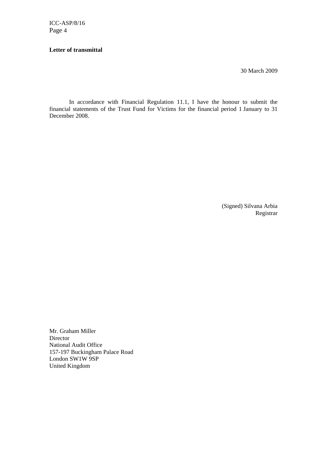# **Letter of transmittal**

30 March 2009

In accordance with Financial Regulation 11.1, I have the honour to submit the financial statements of the Trust Fund for Victims for the financial period 1 January to 31 December 2008.

> (Signed) Silvana Arbia Registrar

Mr. Graham Miller Director National Audit Office 157-197 Buckingham Palace Road London SW1W 9SP United Kingdom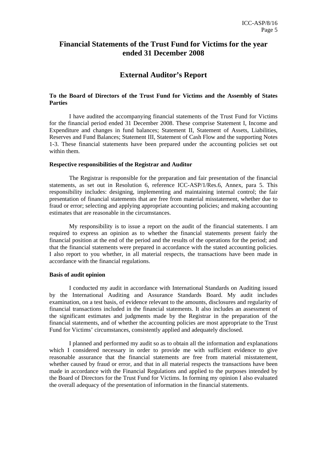# **Financial Statements of the Trust Fund for Victims for the year ended 31 December 2008**

# **External Auditor's Report**

# **To the Board of Directors of the Trust Fund for Victims and the Assembly of States Parties**

I have audited the accompanying financial statements of the Trust Fund for Victims for the financial period ended 31 December 2008. These comprise Statement I, Income and Expenditure and changes in fund balances; Statement II, Statement of Assets, Liabilities, Reserves and Fund Balances; Statement III, Statement of Cash Flow and the supporting Notes 1-3. These financial statements have been prepared under the accounting policies set out within them.

#### **Respective responsibilities of the Registrar and Auditor**

The Registrar is responsible for the preparation and fair presentation of the financial statements, as set out in Resolution 6, reference ICC-ASP/1/Res.6, Annex, para 5. This responsibility includes: designing, implementing and maintaining internal control; the fair presentation of financial statements that are free from material misstatement, whether due to fraud or error; selecting and applying appropriate accounting policies; and making accounting estimates that are reasonable in the circumstances.

My responsibility is to issue a report on the audit of the financial statements. I am required to express an opinion as to whether the financial statements present fairly the financial position at the end of the period and the results of the operations for the period; and that the financial statements were prepared in accordance with the stated accounting policies. I also report to you whether, in all material respects, the transactions have been made in accordance with the financial regulations.

# **Basis of audit opinion**

I conducted my audit in accordance with International Standards on Auditing issued by the International Auditing and Assurance Standards Board. My audit includes examination, on a test basis, of evidence relevant to the amounts, disclosures and regularity of financial transactions included in the financial statements. It also includes an assessment of the significant estimates and judgments made by the Registrar in the preparation of the financial statements, and of whether the accounting policies are most appropriate to the Trust Fund for Victims' circumstances, consistently applied and adequately disclosed.

I planned and performed my audit so as to obtain all the information and explanations which I considered necessary in order to provide me with sufficient evidence to give reasonable assurance that the financial statements are free from material misstatement, whether caused by fraud or error, and that in all material respects the transactions have been made in accordance with the Financial Regulations and applied to the purposes intended by the Board of Directors for the Trust Fund for Victims. In forming my opinion I also evaluated the overall adequacy of the presentation of information in the financial statements.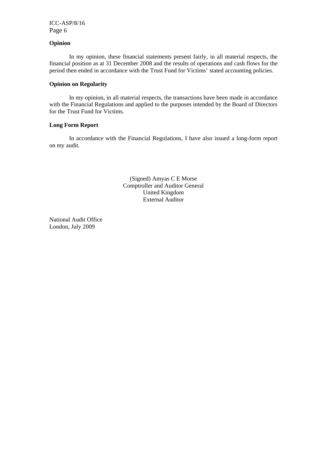# **Opinion**

In my opinion, these financial statements present fairly, in all material respects, the financial position as at 31 December 2008 and the results of operations and cash flows for the period then ended in accordance with the Trust Fund for Victims' stated accounting policies.

#### **Opinion on Regularity**

In my opinion, in all material respects, the transactions have been made in accordance with the Financial Regulations and applied to the purposes intended by the Board of Directors for the Trust Fund for Victims.

#### **Long Form Report**

In accordance with the Financial Regulations, I have also issued a long-form report on my audit.

> (Signed) Amyas C E Morse Comptroller and Auditor General United Kingdom External Auditor

National Audit Office London, July 2009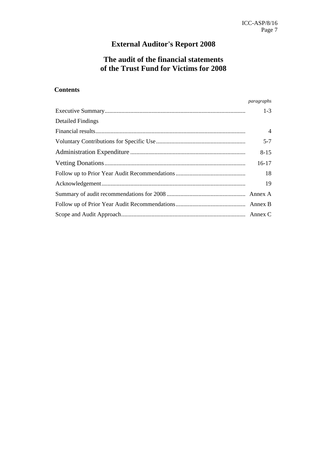# **External Auditor's Report 2008**

# **The audit of the financial statements of the Trust Fund for Victims for 2008**

# **Contents**

|                          | paragraphs     |
|--------------------------|----------------|
|                          | $1 - 3$        |
| <b>Detailed Findings</b> |                |
|                          | $\overline{4}$ |
|                          | $5 - 7$        |
|                          | $8 - 15$       |
|                          | $16-17$        |
|                          | 18             |
|                          | 19             |
|                          |                |
|                          |                |
|                          |                |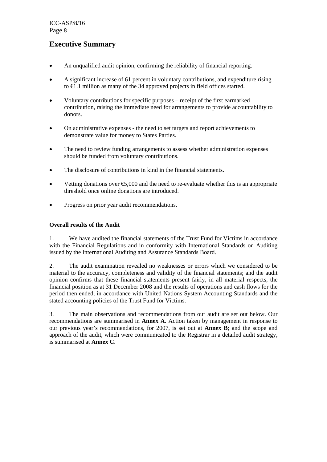# **Executive Summary**

- An unqualified audit opinion, confirming the reliability of financial reporting.
- A significant increase of 61 percent in voluntary contributions, and expenditure rising to €1.1 million as many of the 34 approved projects in field offices started.
- Voluntary contributions for specific purposes receipt of the first earmarked contribution, raising the immediate need for arrangements to provide accountability to donors.
- On administrative expenses the need to set targets and report achievements to demonstrate value for money to States Parties.
- The need to review funding arrangements to assess whether administration expenses should be funded from voluntary contributions.
- The disclosure of contributions in kind in the financial statements.
- Vetting donations over  $\epsilon$ ,000 and the need to re-evaluate whether this is an appropriate threshold once online donations are introduced.
- Progress on prior year audit recommendations.

# **Overall results of the Audit**

1. We have audited the financial statements of the Trust Fund for Victims in accordance with the Financial Regulations and in conformity with International Standards on Auditing issued by the International Auditing and Assurance Standards Board.

2. The audit examination revealed no weaknesses or errors which we considered to be material to the accuracy, completeness and validity of the financial statements; and the audit opinion confirms that these financial statements present fairly, in all material respects, the financial position as at 31 December 2008 and the results of operations and cash flows for the period then ended, in accordance with United Nations System Accounting Standards and the stated accounting policies of the Trust Fund for Victims.

3. The main observations and recommendations from our audit are set out below. Our recommendations are summarised in **Annex A**. Action taken by management in response to our previous year's recommendations, for 2007, is set out at **Annex B**; and the scope and approach of the audit, which were communicated to the Registrar in a detailed audit strategy, is summarised at **Annex C**.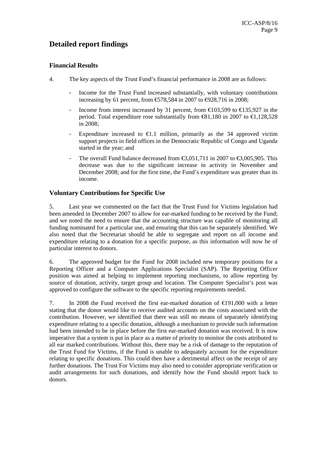# **Detailed report findings**

# **Financial Results**

- 4. The key aspects of the Trust Fund's financial performance in 2008 are as follows:
	- Income for the Trust Fund increased substantially, with voluntary contributions increasing by 61 percent, from  $\text{\textsterling}78,584$  in 2007 to  $\text{\textsterling}928,716$  in 2008;
	- Income from interest increased by 31 percent, from  $\in$  103,599 to  $\in$  35,927 in the period. Total expenditure rose substantially from  $\text{\textsterling}31,180$  in 2007 to  $\text{\textsterling}1,128,528$ in 2008;
	- Expenditure increased to  $\in$ 1.1 million, primarily as the 34 approved victim support projects in field offices in the Democratic Republic of Congo and Uganda started in the year; and
	- The overall Fund balance decreased from  $\text{\textsterling}3,051,711$  in 2007 to  $\text{\textsterling}3,005,905$ . This decrease was due to the significant increase in activity in November and December 2008; and for the first time, the Fund's expenditure was greater than its income.

# **Voluntary Contributions for Specific Use**

5. Last year we commented on the fact that the Trust Fund for Victims legislation had been amended in December 2007 to allow for ear-marked funding to be received by the Fund; and we noted the need to ensure that the accounting structure was capable of monitoring all funding nominated for a particular use, and ensuring that this can be separately identified. We also noted that the Secretariat should be able to segregate and report on all income and expenditure relating to a donation for a specific purpose, as this information will now be of particular interest to donors.

6. The approved budget for the Fund for 2008 included new temporary positions for a Reporting Officer and a Computer Applications Specialist (SAP). The Reporting Officer position was aimed at helping to implement reporting mechanisms, to allow reporting by source of donation, activity, target group and location. The Computer Specialist's post was approved to configure the software to the specific reporting requirements needed.

7. In 2008 the Fund received the first ear-marked donation of €191,000 with a letter stating that the donor would like to receive audited accounts on the costs associated with the contribution. However, we identified that there was still no means of separately identifying expenditure relating to a specific donation, although a mechanism to provide such information had been intended to be in place before the first ear-marked donation was received. It is now imperative that a system is put in place as a matter of priority to monitor the costs attributed to all ear marked contributions. Without this, there may be a risk of damage to the reputation of the Trust Fund for Victims, if the Fund is unable to adequately account for the expenditure relating to specific donations. This could then have a detrimental affect on the receipt of any further donations. The Trust For Victims may also need to consider appropriate verification or audit arrangements for such donations, and identify how the Fund should report back to donors.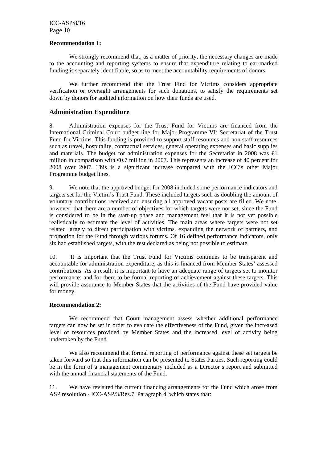#### **Recommendation 1:**

We strongly recommend that, as a matter of priority, the necessary changes are made to the accounting and reporting systems to ensure that expenditure relating to ear-marked funding is separately identifiable, so as to meet the accountability requirements of donors.

We further recommend that the Trust Find for Victims considers appropriate verification or oversight arrangements for such donations, to satisfy the requirements set down by donors for audited information on how their funds are used.

# **Administration Expenditure**

8. Administration expenses for the Trust Fund for Victims are financed from the International Criminal Court budget line for Major Programme VI: Secretariat of the Trust Fund for Victims. This funding is provided to support staff resources and non staff resources such as travel, hospitality, contractual services, general operating expenses and basic supplies and materials. The budget for administration expenses for the Secretariat in 2008 was  $\in$ million in comparison with  $\epsilon 0.7$  million in 2007. This represents an increase of 40 percent for 2008 over 2007. This is a significant increase compared with the ICC's other Major Programme budget lines.

9. We note that the approved budget for 2008 included some performance indicators and targets set for the Victim's Trust Fund. These included targets such as doubling the amount of voluntary contributions received and ensuring all approved vacant posts are filled. We note, however, that there are a number of objectives for which targets were not set, since the Fund is considered to be in the start-up phase and management feel that it is not yet possible realistically to estimate the level of activities. The main areas where targets were not set related largely to direct participation with victims, expanding the network of partners, and promotion for the Fund through various forums. Of 16 defined performance indicators, only six had established targets, with the rest declared as being not possible to estimate.

10. It is important that the Trust Fund for Victims continues to be transparent and accountable for administration expenditure, as this is financed from Member States' assessed contributions. As a result, it is important to have an adequate range of targets set to monitor performance; and for there to be formal reporting of achievement against these targets. This will provide assurance to Member States that the activities of the Fund have provided value for money.

# **Recommendation 2:**

We recommend that Court management assess whether additional performance targets can now be set in order to evaluate the effectiveness of the Fund, given the increased level of resources provided by Member States and the increased level of activity being undertaken by the Fund.

We also recommend that formal reporting of performance against these set targets be taken forward so that this information can be presented to States Parties. Such reporting could be in the form of a management commentary included as a Director's report and submitted with the annual financial statements of the Fund.

11. We have revisited the current financing arrangements for the Fund which arose from ASP resolution - ICC-ASP/3/Res.7, Paragraph 4, which states that: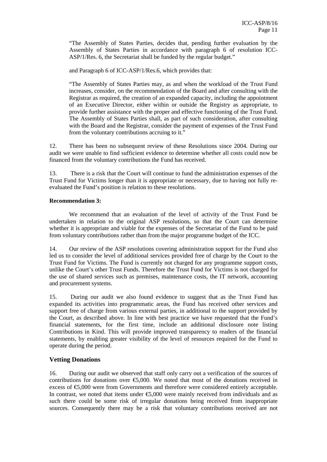"The Assembly of States Parties, decides that, pending further evaluation by the Assembly of States Parties in accordance with paragraph 6 of resolution ICC-ASP/1/Res. 6, the Secretariat shall be funded by the regular budget."

and Paragraph 6 of ICC-ASP/1/Res.6, which provides that:

"The Assembly of States Parties may, as and when the workload of the Trust Fund increases, consider, on the recommendation of the Board and after consulting with the Registrar as required, the creation of an expanded capacity, including the appointment of an Executive Director, either within or outside the Registry as appropriate, to provide further assistance with the proper and effective functioning of the Trust Fund. The Assembly of States Parties shall, as part of such consideration, after consulting with the Board and the Registrar, consider the payment of expenses of the Trust Fund from the voluntary contributions accruing to it."

12. There has been no subsequent review of these Resolutions since 2004. During our audit we were unable to find sufficient evidence to determine whether all costs could now be financed from the voluntary contributions the Fund has received.

13. There is a risk that the Court will continue to fund the administration expenses of the Trust Fund for Victims longer than it is appropriate or necessary, due to having not fully reevaluated the Fund's position is relation to these resolutions.

# **Recommendation 3:**

We recommend that an evaluation of the level of activity of the Trust Fund be undertaken in relation to the original ASP resolutions, so that the Court can determine whether it is appropriate and viable for the expenses of the Secretariat of the Fund to be paid from voluntary contributions rather than from the major programme budget of the ICC.

14. Our review of the ASP resolutions covering administration support for the Fund also led us to consider the level of additional services provided free of charge by the Court to the Trust Fund for Victims. The Fund is currently not charged for any programme support costs, unlike the Court's other Trust Funds. Therefore the Trust Fund for Victims is not charged for the use of shared services such as premises, maintenance costs, the IT network, accounting and procurement systems.

15. During our audit we also found evidence to suggest that as the Trust Fund has expanded its activities into programmatic areas, the Fund has received other services and support free of charge from various external parties, in additional to the support provided by the Court, as described above. In line with best practice we have requested that the Fund's financial statements, for the first time, include an additional disclosure note listing Contributions in Kind. This will provide improved transparency to readers of the financial statements, by enabling greater visibility of the level of resources required for the Fund to operate during the period.

# **Vetting Donations**

16. During our audit we observed that staff only carry out a verification of the sources of contributions for donations over €5,000. We noted that most of the donations received in excess of €5,000 were from Governments and therefore were considered entirely acceptable. In contrast, we noted that items under €5,000 were mainly received from individuals and as such there could be some risk of irregular donations being received from inappropriate sources. Consequently there may be a risk that voluntary contributions received are not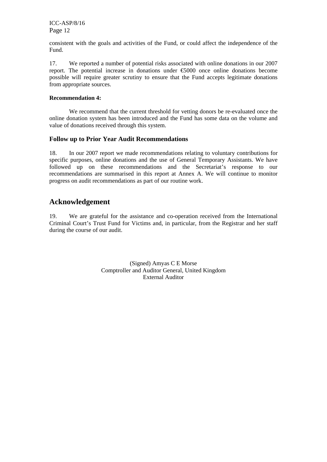consistent with the goals and activities of the Fund, or could affect the independence of the Fund.

17. We reported a number of potential risks associated with online donations in our 2007 report. The potential increase in donations under €5000 once online donations become possible will require greater scrutiny to ensure that the Fund accepts legitimate donations from appropriate sources.

#### **Recommendation 4:**

We recommend that the current threshold for vetting donors be re-evaluated once the online donation system has been introduced and the Fund has some data on the volume and value of donations received through this system.

# **Follow up to Prior Year Audit Recommendations**

18. In our 2007 report we made recommendations relating to voluntary contributions for specific purposes, online donations and the use of General Temporary Assistants. We have followed up on these recommendations and the Secretariat's response to our recommendations are summarised in this report at Annex A. We will continue to monitor progress on audit recommendations as part of our routine work.

# **Acknowledgement**

19. We are grateful for the assistance and co-operation received from the International Criminal Court's Trust Fund for Victims and, in particular, from the Registrar and her staff during the course of our audit.

> (Signed) Amyas C E Morse Comptroller and Auditor General, United Kingdom External Auditor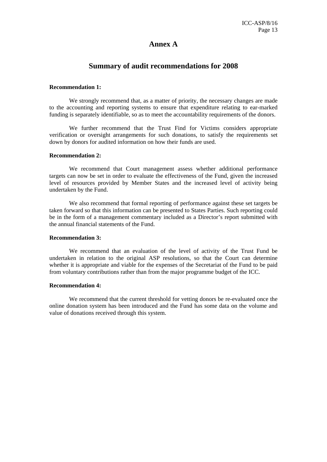# **Annex A**

# **Summary of audit recommendations for 2008**

#### **Recommendation 1:**

We strongly recommend that, as a matter of priority, the necessary changes are made to the accounting and reporting systems to ensure that expenditure relating to ear-marked funding is separately identifiable, so as to meet the accountability requirements of the donors.

We further recommend that the Trust Find for Victims considers appropriate verification or oversight arrangements for such donations, to satisfy the requirements set down by donors for audited information on how their funds are used.

#### **Recommendation 2:**

We recommend that Court management assess whether additional performance targets can now be set in order to evaluate the effectiveness of the Fund, given the increased level of resources provided by Member States and the increased level of activity being undertaken by the Fund.

We also recommend that formal reporting of performance against these set targets be taken forward so that this information can be presented to States Parties. Such reporting could be in the form of a management commentary included as a Director's report submitted with the annual financial statements of the Fund.

#### **Recommendation 3:**

We recommend that an evaluation of the level of activity of the Trust Fund be undertaken in relation to the original ASP resolutions, so that the Court can determine whether it is appropriate and viable for the expenses of the Secretariat of the Fund to be paid from voluntary contributions rather than from the major programme budget of the ICC.

#### **Recommendation 4:**

We recommend that the current threshold for vetting donors be re-evaluated once the online donation system has been introduced and the Fund has some data on the volume and value of donations received through this system.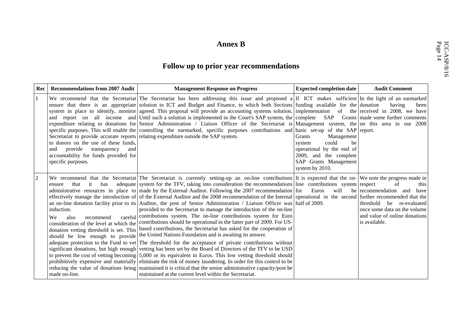# **ICC-ANNET ANNEX B**<br>Follow up to prior year recommendations

| Rec            | <b>Recommendations from 2007 Audit</b>                                                                                                                                                                         | <b>Management Response on Progress</b>                                                                                                                                                                                                                                                                                                                                                                                                                                                                                                                                                                                                                                                                                                                                                                                                                                                                                                                                                                                                                                                                                                                                                                                                                                                                                                                                                                                                                                                                                                                                                                                                                                                                 | <b>Expected completion date</b>                                                                                                                         | <b>Audit Comment</b>                                                                                                                                          |
|----------------|----------------------------------------------------------------------------------------------------------------------------------------------------------------------------------------------------------------|--------------------------------------------------------------------------------------------------------------------------------------------------------------------------------------------------------------------------------------------------------------------------------------------------------------------------------------------------------------------------------------------------------------------------------------------------------------------------------------------------------------------------------------------------------------------------------------------------------------------------------------------------------------------------------------------------------------------------------------------------------------------------------------------------------------------------------------------------------------------------------------------------------------------------------------------------------------------------------------------------------------------------------------------------------------------------------------------------------------------------------------------------------------------------------------------------------------------------------------------------------------------------------------------------------------------------------------------------------------------------------------------------------------------------------------------------------------------------------------------------------------------------------------------------------------------------------------------------------------------------------------------------------------------------------------------------------|---------------------------------------------------------------------------------------------------------------------------------------------------------|---------------------------------------------------------------------------------------------------------------------------------------------------------------|
|                | to donors on the use of these funds,<br>provide<br>and<br>transparency<br>and<br>accountability for funds provided for<br>specific purposes.                                                                   | We recommend that the Secretariat The Secretariat has been addressing this issue and proposed a If ICT makes sufficient In the light of an earmarked<br>ensure that there is an appropriate solution to ICT and Budget and Finance, to which both Sections funding available for the donation<br>system in place to identify, monitor agreed. This proposal will provide an accounting systems solution. implementation of the received in 2008, we have<br>and report on all income and Until such a solution is implemented in the Court's SAP system, the complete SAP Grants made some further comments<br>expenditure relating to donations for Senior Administration / Liaison Officer of the Secretariat is Management system, the on this area in our 2008<br>specific purposes. This will enable the controlling the earmarked, specific purposes contributions and basic set-up of the SAP report.<br>Secretariat to provide accurate reports relating expenditure outside the SAP system.                                                                                                                                                                                                                                                                                                                                                                                                                                                                                                                                                                                                                                                                                                   | Management<br><b>Grants</b><br>could<br>be<br>system<br>operational by the end of<br>2009, and the complete<br>SAP Grants Management<br>system by 2010. | having<br>been                                                                                                                                                |
| $\overline{2}$ | that<br>it<br>has<br>ensure<br>induction.<br>We<br>also<br>recommend<br>consideration of the level at which the<br>donation vetting threshold is set. This<br>should be low enough to provide<br>made on-line. | We recommend that the Secretariat The Secretariat is currently setting-up an on-line contributions It is expected that the on- We note the progress made in<br>adequate system for the TFV, taking into consideration the recommendations line contributions system respect<br>administrative resources in place to made by the External Auditor. Following the 2007 recommendation for<br>effectively manage the introduction of of the External Auditor and the 2008 recommendation of the Internal operational in the second further recommended that the<br>an on-line donation facility prior to its Auditor, the post of Senior Administration / Liaison Officer was half of 2009.<br>provided to the Secretariat to manage the introduction of the on-line<br>careful contributions system. The on-line contributions system for Euro<br>contributions should be operational in the latter part of 2009. For US-<br>based contributions, the Secretariat has asked for the cooperation of<br>the United Nations Foundation and is awaiting its answer.<br>adequate protection to the Fund to vet The threshold for the acceptance of private contributions without<br>significant donations, but high enough vetting has been set by the Board of Directors of the TFV to be USD<br>to prevent the cost of vetting becoming 5,000 or its equivalent in Euros. This low vetting threshold should<br>prohibitively expensive and materially eliminate the risk of money laundering. In order for this control to be<br>reducing the value of donations being maintained it is critical that the senior administrative capacity/post be<br>maintained at the current level within the Secretariat. | Euros<br>will                                                                                                                                           | of<br>this<br>be recommendation and<br>have<br>threshold<br>be re-evaluated<br>once some data on the volume<br>and value of online donations<br>is available. |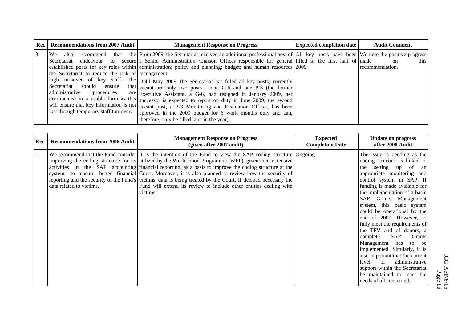| <b>Rec</b>   Recommendations from 2007 Audit                                                                                                                        | <b>Management Response on Progress</b>                                                                                                                                                                                                                                                                                                                                                                                                                                                                                                                                                                                                                                                                                                                                                                                                                                                                                                                                                | <b>Expected completion date</b> | <b>Audit Comment</b>            |
|---------------------------------------------------------------------------------------------------------------------------------------------------------------------|---------------------------------------------------------------------------------------------------------------------------------------------------------------------------------------------------------------------------------------------------------------------------------------------------------------------------------------------------------------------------------------------------------------------------------------------------------------------------------------------------------------------------------------------------------------------------------------------------------------------------------------------------------------------------------------------------------------------------------------------------------------------------------------------------------------------------------------------------------------------------------------------------------------------------------------------------------------------------------------|---------------------------------|---------------------------------|
| We also<br>the Secretariat to reduce the risk of management.<br>Secretariat should ensure<br>administrative<br>procedures<br>lost through temporary staff turnover. | recommend that the From 2009, the Secretariat received an additional professional post of All key posts have been We note the positive progress<br>Secretariat endeavour to secure a Senior Administration Liaison Officer responsible for general filled in the first half of made<br>established posts for key roles within administration; policy and planning; budget; and human resources 2009<br>high turnover of key staff. The Until May 2009, the Secretariat has filled all key posts; currently<br>that vacant are only two posts – one G-6 and one P-3 (the former<br>are Executive Assistant, a G-6, had resigned in January 2009, her<br>documented in a usable form as this successor is expected to report on duty in June 2009; the second<br>will ensure that key information is not vacant post, a P-3 Monitoring and Evaluation Officer, has been<br>approved in the 2009 budget for 6 work months only and can,<br>therefore, only be filled later in the year). |                                 | this  <br>on<br>recommendation. |

| Rec | <b>Recommendations from 2006 Audit</b> | <b>Management Response on Progress</b><br>(given after 2007 audit)                                                                                                                                                                                                                                                                                                                                                                                                                                                                                                                                                                             | <b>Expected</b><br><b>Completion Date</b> | <b>Update on progress</b><br>after 2008 Audit                                                                                                                                                                                                                                                                                                                                                                                                                                                                                                                                                                                                                      |
|-----|----------------------------------------|------------------------------------------------------------------------------------------------------------------------------------------------------------------------------------------------------------------------------------------------------------------------------------------------------------------------------------------------------------------------------------------------------------------------------------------------------------------------------------------------------------------------------------------------------------------------------------------------------------------------------------------------|-------------------------------------------|--------------------------------------------------------------------------------------------------------------------------------------------------------------------------------------------------------------------------------------------------------------------------------------------------------------------------------------------------------------------------------------------------------------------------------------------------------------------------------------------------------------------------------------------------------------------------------------------------------------------------------------------------------------------|
|     | data related to victims.               | We recommend that the Fund consider It is the intention of the Fund to view the SAP coding structure Ongoing<br>improving the coding structure for its utilized by the World Food Programme (WFP), given their extensive<br>activities in the SAP accounting financial reporting, as a basis to improve the coding structure at the<br>system, to ensure better financial Court. Moreover, it is also planned to review how the security of<br>reporting and the security of the Fund's victims' data is being treated by the Court. If deemed necessary the<br>Fund will extend its review to include other entities dealing with<br>victims. |                                           | The issue is pending as the<br>coding structure is linked to<br>setting up of<br>the<br>an<br>appropriate monitoring and<br>control system in SAP. If<br>funding is made available for<br>the implementation of a basic<br>SAP Grants Management<br>system, this basic system<br>could be operational by the<br>end of 2009. However, to<br>fully meet the requirements of<br>the TFV and of donors, a<br>SAP<br>complete<br>Grants<br>Management has to be<br>implemented. Similarly, it is<br>also important that the current<br>$\sigma$ f<br>administrative<br>level<br>support within the Secretariat<br>be maintained to meet the<br>needs of all concerned. |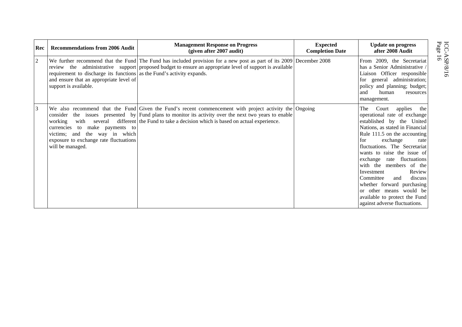| Rec            | <b>Recommendations from 2006 Audit</b>                                                                                                                         | <b>Management Response on Progress</b><br>(given after 2007 audit)                                                                                                                                                                                                                            | <b>Expected</b><br><b>Completion Date</b> | <b>Update on progress</b><br>after 2008 Audit                                                                                                                                                                                                                                                                                                                                                                                                                                                        | ICC-A<br>Page 1    |
|----------------|----------------------------------------------------------------------------------------------------------------------------------------------------------------|-----------------------------------------------------------------------------------------------------------------------------------------------------------------------------------------------------------------------------------------------------------------------------------------------|-------------------------------------------|------------------------------------------------------------------------------------------------------------------------------------------------------------------------------------------------------------------------------------------------------------------------------------------------------------------------------------------------------------------------------------------------------------------------------------------------------------------------------------------------------|--------------------|
| $\overline{2}$ | requirement to discharge its functions as the Fund's activity expands.<br>and ensure that an appropriate level of<br>support is available.                     | We further recommend that the Fund The Fund has included provision for a new post as part of its 2009 December 2008<br>review the administrative support proposed budget to ensure an appropriate level of support is available                                                               |                                           | From 2009, the Secretariat<br>has a Senior Administrative /<br>Liaison Officer responsible<br>for general administration;<br>policy and planning; budget;<br>and<br>human<br>resources<br>management.                                                                                                                                                                                                                                                                                                | ASP.<br>16<br>8/16 |
| 3              | several<br>with<br>working<br>currencies to make payments to<br>the way in which<br>victims; and<br>exposure to exchange rate fluctuations<br>will be managed. | We also recommend that the Fund Given the Fund's recent commencement with project activity the Ongoing<br>consider the issues presented by Fund plans to monitor its activity over the next two years to enable<br>different the Fund to take a decision which is based on actual experience. |                                           | Court<br>applies<br>The<br>the<br>operational rate of exchange<br>established by the United<br>Nations, as stated in Financial<br>Rule 111.5 on the accounting<br>exchange<br>for<br>rate<br>fluctuations. The Secretariat<br>wants to raise the issue of<br>exchange rate fluctuations<br>with the members of the<br>Review<br>Investment<br>Committee<br>and<br>discuss<br>whether forward purchasing<br>or other means would be<br>available to protect the Fund<br>against adverse fluctuations. |                    |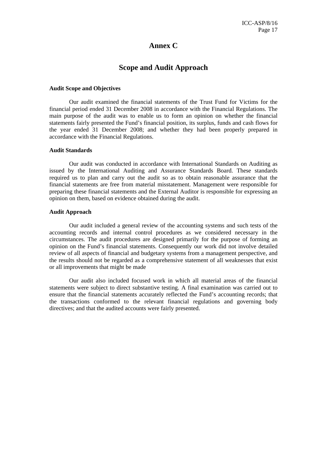# **Annex C**

# **Scope and Audit Approach**

#### **Audit Scope and Objectives**

Our audit examined the financial statements of the Trust Fund for Victims for the financial period ended 31 December 2008 in accordance with the Financial Regulations. The main purpose of the audit was to enable us to form an opinion on whether the financial statements fairly presented the Fund's financial position, its surplus, funds and cash flows for the year ended 31 December 2008; and whether they had been properly prepared in accordance with the Financial Regulations.

#### **Audit Standards**

Our audit was conducted in accordance with International Standards on Auditing as issued by the International Auditing and Assurance Standards Board. These standards required us to plan and carry out the audit so as to obtain reasonable assurance that the financial statements are free from material misstatement. Management were responsible for preparing these financial statements and the External Auditor is responsible for expressing an opinion on them, based on evidence obtained during the audit.

#### **Audit Approach**

Our audit included a general review of the accounting systems and such tests of the accounting records and internal control procedures as we considered necessary in the circumstances. The audit procedures are designed primarily for the purpose of forming an opinion on the Fund's financial statements. Consequently our work did not involve detailed review of all aspects of financial and budgetary systems from a management perspective, and the results should not be regarded as a comprehensive statement of all weaknesses that exist or all improvements that might be made

Our audit also included focused work in which all material areas of the financial statements were subject to direct substantive testing. A final examination was carried out to ensure that the financial statements accurately reflected the Fund's accounting records; that the transactions conformed to the relevant financial regulations and governing body directives; and that the audited accounts were fairly presented.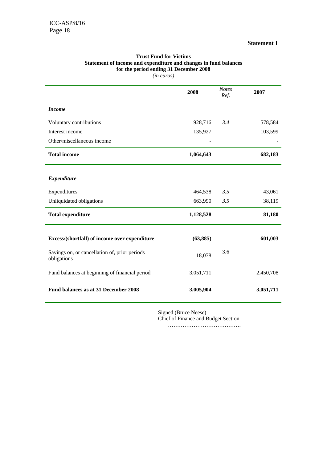#### **Statement I**

|                                                              | 2008      | <b>Notes</b><br>Ref. | 2007      |
|--------------------------------------------------------------|-----------|----------------------|-----------|
| <b>Income</b>                                                |           |                      |           |
| Voluntary contributions                                      | 928,716   | 3.4                  | 578,584   |
| Interest income                                              | 135,927   |                      | 103,599   |
| Other/miscellaneous income                                   |           |                      |           |
| <b>Total income</b>                                          | 1,064,643 |                      | 682,183   |
| <b>Expenditure</b>                                           |           |                      |           |
| Expenditures                                                 | 464,538   | 3.5                  | 43,061    |
| Unliquidated obligations                                     | 663,990   | 3.5                  | 38,119    |
| <b>Total expenditure</b>                                     | 1,128,528 |                      | 81,180    |
| Excess/(shortfall) of income over expenditure                | (63, 885) |                      | 601,003   |
| Savings on, or cancellation of, prior periods<br>obligations | 18,078    | 3.6                  |           |
| Fund balances at beginning of financial period               | 3,051,711 |                      | 2,450,708 |
| Fund balances as at 31 December 2008                         | 3,005,904 |                      | 3,051,711 |

# **Trust Fund for Victims Statement of income and expenditure and changes in fund balances for the period ending 31 December 2008**

*(in euros)* 

Signed (Bruce Neese) Chief of Finance and Budget Section

………………………………….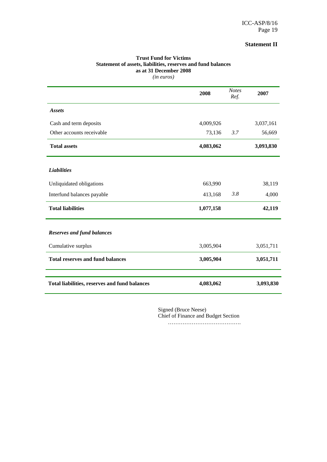# **Statement II**

| (in euros)                                    |           |                      |           |
|-----------------------------------------------|-----------|----------------------|-----------|
|                                               | 2008      | <b>Notes</b><br>Ref. | 2007      |
| <b>Assets</b>                                 |           |                      |           |
| Cash and term deposits                        | 4,009,926 |                      | 3,037,161 |
| Other accounts receivable                     | 73,136    | 3.7                  | 56,669    |
| <b>Total assets</b>                           | 4,083,062 |                      | 3,093,830 |
| <b>Liabilities</b>                            |           |                      |           |
| Unliquidated obligations                      | 663,990   |                      | 38,119    |
| Interfund balances payable                    | 413,168   | 3.8                  | 4,000     |
| <b>Total liabilities</b>                      | 1,077,158 |                      | 42,119    |
| <b>Reserves and fund balances</b>             |           |                      |           |
| Cumulative surplus                            | 3,005,904 |                      | 3,051,711 |
| <b>Total reserves and fund balances</b>       | 3,005,904 |                      | 3,051,711 |
| Total liabilities, reserves and fund balances | 4,083,062 |                      | 3,093,830 |

# **Trust Fund for Victims Statement of assets, liabilities, reserves and fund balances as at 31 December 2008**

Signed (Bruce Neese) Chief of Finance and Budget Section

………………………………….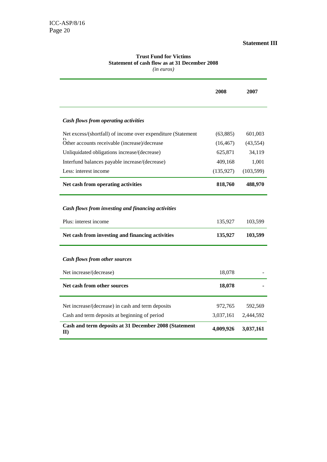# **Statement III**

#### **Trust Fund for Victims Statement of cash flow as at 31 December 2008** *(in euros)*

|                                                                             | 2008       | 2007       |
|-----------------------------------------------------------------------------|------------|------------|
| Cash flows from operating activities                                        |            |            |
| Net excess/(shortfall) of income over expenditure (Statement                | (63,885)   | 601,003    |
| Other accounts receivable (increase)/decrease                               | (16, 467)  | (43, 554)  |
| Unliquidated obligations increase/(decrease)                                | 625,871    | 34,119     |
| Interfund balances payable increase/(decrease)                              | 409,168    | 1,001      |
| Less: interest income                                                       | (135, 927) | (103, 599) |
| Net cash from operating activities                                          | 818,760    | 488,970    |
| Cash flows from investing and financing activities<br>Plus: interest income | 135,927    | 103,599    |
| Net cash from investing and financing activities                            | 135,927    | 103,599    |
| Cash flows from other sources<br>Net increase/(decrease)                    | 18,078     |            |
| Net cash from other sources                                                 | 18,078     |            |
| Net increase/(decrease) in cash and term deposits                           | 972,765    | 592,569    |
| Cash and term deposits at beginning of period                               | 3,037,161  | 2,444,592  |
| Cash and term deposits at 31 December 2008 (Statement<br>$\mathbf{I}$       | 4,009,926  | 3,037,161  |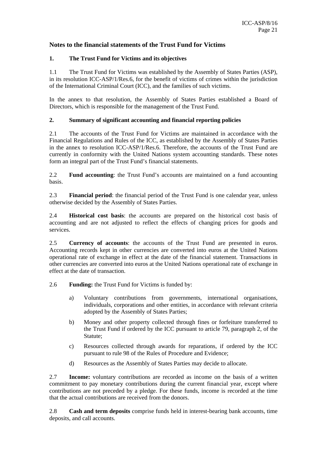# **Notes to the financial statements of the Trust Fund for Victims**

# **1. The Trust Fund for Victims and its objectives**

1.1 The Trust Fund for Victims was established by the Assembly of States Parties (ASP), in its resolution ICC-ASP/1/Res.6, for the benefit of victims of crimes within the jurisdiction of the International Criminal Court (ICC), and the families of such victims.

In the annex to that resolution, the Assembly of States Parties established a Board of Directors, which is responsible for the management of the Trust Fund.

# **2. Summary of significant accounting and financial reporting policies**

2.1 The accounts of the Trust Fund for Victims are maintained in accordance with the Financial Regulations and Rules of the ICC, as established by the Assembly of States Parties in the annex to resolution ICC-ASP/1/Res.6. Therefore, the accounts of the Trust Fund are currently in conformity with the United Nations system accounting standards. These notes form an integral part of the Trust Fund's financial statements.

2.2 **Fund accounting**: the Trust Fund's accounts are maintained on a fund accounting basis.

2.3 **Financial period**: the financial period of the Trust Fund is one calendar year, unless otherwise decided by the Assembly of States Parties.

2.4 **Historical cost basis**: the accounts are prepared on the historical cost basis of accounting and are not adjusted to reflect the effects of changing prices for goods and services.

2.5 **Currency of accounts**: the accounts of the Trust Fund are presented in euros. Accounting records kept in other currencies are converted into euros at the United Nations operational rate of exchange in effect at the date of the financial statement. Transactions in other currencies are converted into euros at the United Nations operational rate of exchange in effect at the date of transaction.

2.6 **Funding:** the Trust Fund for Victims is funded by:

- a) Voluntary contributions from governments, international organisations, individuals, corporations and other entities, in accordance with relevant criteria adopted by the Assembly of States Parties;
- b) Money and other property collected through fines or forfeiture transferred to the Trust Fund if ordered by the ICC pursuant to article 79, paragraph 2, of the Statute;
- c) Resources collected through awards for reparations, if ordered by the ICC pursuant to rule 98 of the Rules of Procedure and Evidence;
- d) Resources as the Assembly of States Parties may decide to allocate.

2.7 **Income:** voluntary contributions are recorded as income on the basis of a written commitment to pay monetary contributions during the current financial year, except where contributions are not preceded by a pledge. For these funds, income is recorded at the time that the actual contributions are received from the donors.

2.8 **Cash and term deposits** comprise funds held in interest-bearing bank accounts, time deposits, and call accounts.